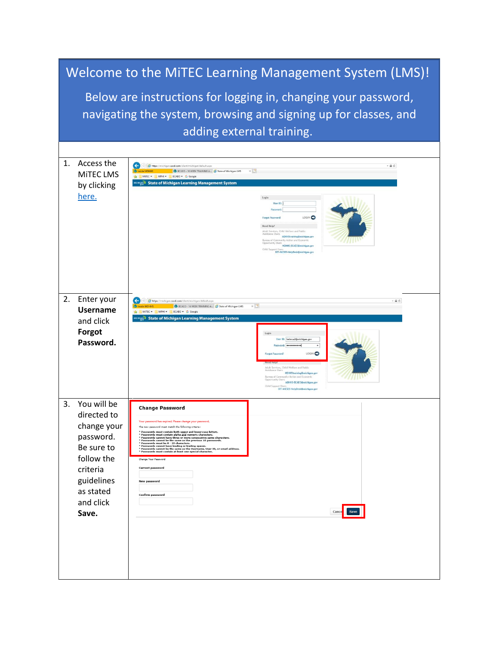|                                                                                                                                                                | Welcome to the MITEC Learning Management System (LMS)!                                                                                          |                                                                                                                                                                                                                                                                                                                                                                                                                                                                                                                                                                                                                                                                                                                                                                                           |                                                                                                                                                                                                                                                                                                                                                                                                       |  |
|----------------------------------------------------------------------------------------------------------------------------------------------------------------|-------------------------------------------------------------------------------------------------------------------------------------------------|-------------------------------------------------------------------------------------------------------------------------------------------------------------------------------------------------------------------------------------------------------------------------------------------------------------------------------------------------------------------------------------------------------------------------------------------------------------------------------------------------------------------------------------------------------------------------------------------------------------------------------------------------------------------------------------------------------------------------------------------------------------------------------------------|-------------------------------------------------------------------------------------------------------------------------------------------------------------------------------------------------------------------------------------------------------------------------------------------------------------------------------------------------------------------------------------------------------|--|
| Below are instructions for logging in, changing your password,<br>navigating the system, browsing and signing up for classes, and<br>adding external training. |                                                                                                                                                 |                                                                                                                                                                                                                                                                                                                                                                                                                                                                                                                                                                                                                                                                                                                                                                                           |                                                                                                                                                                                                                                                                                                                                                                                                       |  |
| $\mathbf{1}$ .                                                                                                                                                 | Access the<br><b>MITEC LMS</b><br>by clicking<br>here.                                                                                          | https://michigan.csod.com/client/michigan/default.aspx<br>BCAEO - 16 WEEK TRAINING A & State of Michigan LMS<br>MITEC - MPHI - BCAEO - G Google<br><b>CHOANG</b> State of Michigan Learning Management System                                                                                                                                                                                                                                                                                                                                                                                                                                                                                                                                                                             | $ \oplus$ $\circ$<br>$\times$ $\mathbb{R}^n$<br>Login<br>User ID<br>LOGIN <sup>C</sup><br>Forgot Password<br>Need Help?<br>Adult Services, Child Welfare and Public<br>Assistance Users<br>MDHHStraining@michigan.go<br>unity Action and Economic<br>Opportunity Users<br>MDHHS-BCAEO@michigan.gov<br>Child Support U<br>DIT-MiCSES-HelpDesk@michigan.go                                              |  |
| 2.                                                                                                                                                             | Enter your<br><b>Username</b><br>and click<br>Forgot<br>Password.                                                                               | https://michigan.csod.com/client/michigan/default.aspx<br>B BCAEO - 16 WEEK TRAINING A & State of Michigan LMS<br>MITEC . MPHI . BCAEO . G Google<br><b>KHIGAN<sup>®</sup> State of Michigan Learning Management System</b>                                                                                                                                                                                                                                                                                                                                                                                                                                                                                                                                                               | $- \triangle C$<br>$\times$ $\Box$<br>Login<br>User ID: helmsa2@michigan.gov<br>Password: <b>**********</b><br>LOGIN <sup>C</sup><br>Adult Services, Child Welfare and Public<br>Assistance Users<br>MDHHStraining@michigan.gov<br>greau of Con<br>unity Action and Economic<br>Bureau of some<br>Opportunity Users<br>MDHHS-BCAEO@michigan.gov<br>Child Support Us<br>DIT-MiCSES-HelpDesk@michigan.g |  |
| 3.                                                                                                                                                             | You will be<br>directed to<br>change your<br>password.<br>Be sure to<br>follow the<br>criteria<br>guidelines<br>as stated<br>and click<br>Save. | <b>Change Password</b><br>Your password has expired. Please change your password<br>The new password must match the following criteria<br>Passwords must contain both upper and lower case letters.<br><b>Passwords must contain alpha and numeric characters.</b><br>• Passwords cannot have three or more consecutive same characters.<br>• Passwords cannot be the same as the previous 10 passwords.<br>Passwords must be 8 - 20 characters.<br>s passwords cannot have leading or trailing spaces.<br>* Passwords cannot have leading or trailing spaces.<br>* Passwords cannot be the same as the Username, User ID, or email address.<br>* Passwords must contain at least one speci<br>Change Your Password<br><b>Current password</b><br><b>New password</b><br>Confirm password | Canc<br><b>Save</b>                                                                                                                                                                                                                                                                                                                                                                                   |  |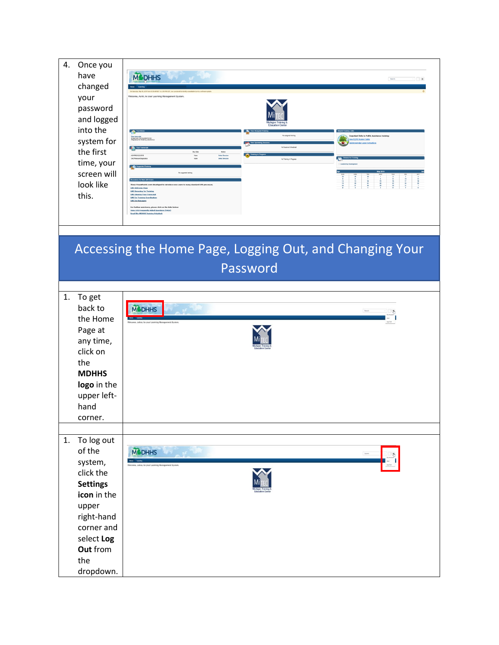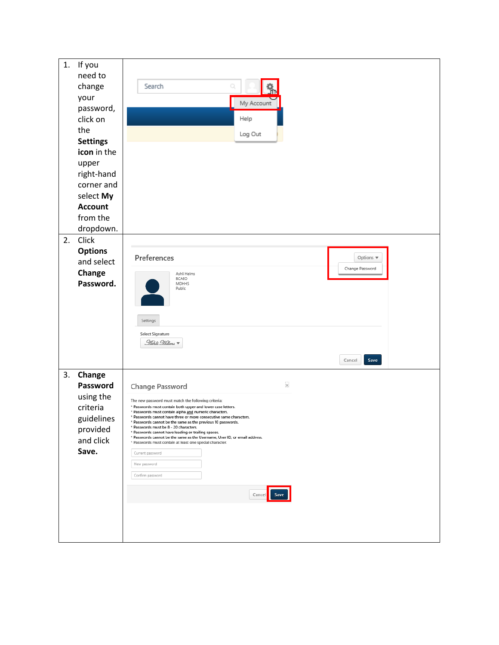| 1. | If you<br>need to<br>change<br>your<br>password,<br>click on<br>the<br><b>Settings</b><br>icon in the<br>upper<br>right-hand<br>corner and<br>select My<br><b>Account</b><br>from the | Search<br>Q<br>My Account<br>Help<br>Log Out                                                                                                                                                                                                                                                                                                                                                                                                                                                                                                                                                                                                                           |
|----|---------------------------------------------------------------------------------------------------------------------------------------------------------------------------------------|------------------------------------------------------------------------------------------------------------------------------------------------------------------------------------------------------------------------------------------------------------------------------------------------------------------------------------------------------------------------------------------------------------------------------------------------------------------------------------------------------------------------------------------------------------------------------------------------------------------------------------------------------------------------|
|    | dropdown.                                                                                                                                                                             |                                                                                                                                                                                                                                                                                                                                                                                                                                                                                                                                                                                                                                                                        |
| 2. | Click<br><b>Options</b><br>and select<br>Change<br>Password.                                                                                                                          | Preferences<br>Options v<br>Change Password<br>Ashli Helms<br>BCAEO<br><b>MDHHS</b><br>Public<br>Settings<br>Select Signature<br><u>Hihli Helmi</u> ▼<br>Save<br>Cancel                                                                                                                                                                                                                                                                                                                                                                                                                                                                                                |
| 3. | Change<br>Password<br>using the<br>criteria<br>guidelines<br>provided<br>and click<br>Save.                                                                                           | $\times$<br>Change Password<br>The new password must match the following criteria:<br>* Passwords must contain both upper and lower case letters.<br>* Passwords must contain alpha and numeric characters.<br>* Passwords cannot have three or more consecutive same characters.<br>* Passwords cannot be the same as the previous 10 passwords.<br>* Passwords must be 8 - 20 characters.<br>* Passwords cannot have leading or trailing spaces.<br>* Passwords cannot be the same as the Username, User ID, or email address.<br>* Passwords must contain at least one special character.<br>Current password<br>New password<br>Confirm password<br>Cancel<br>Save |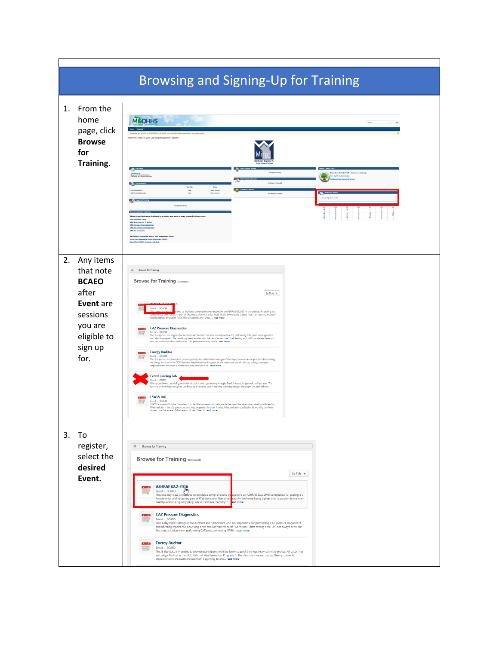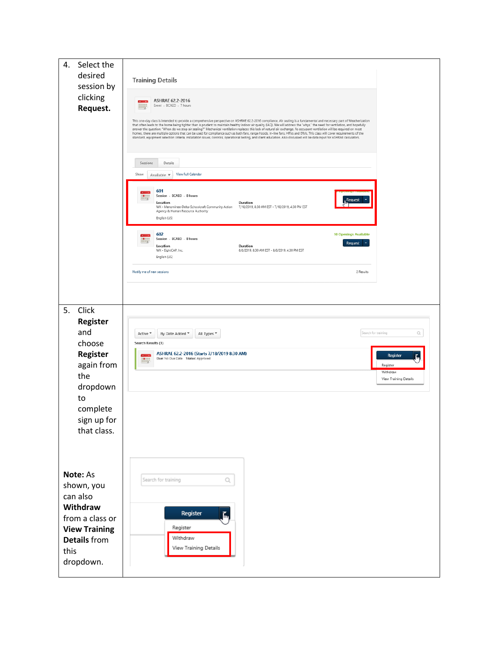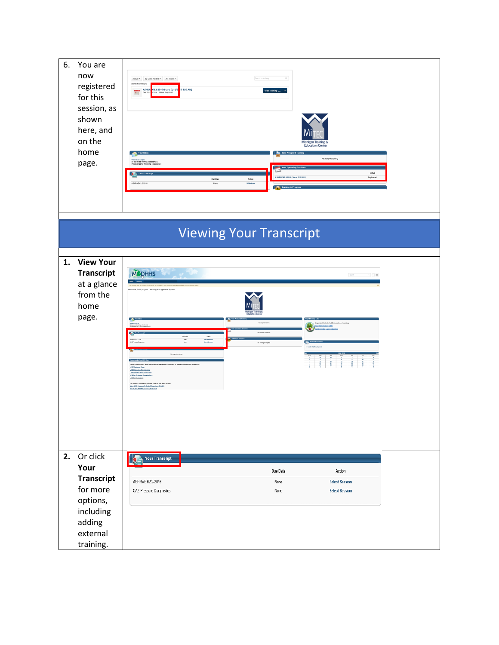| 6. | You are<br>now<br>registered<br>for this<br>session, as<br>shown<br>here, and<br>on the<br>home<br>page.         | Search for training<br>Active $\overline{\phantom{x}}$ By Date Added $\overline{\phantom{x}}$ All Types $\overline{\phantom{x}}$<br>$\mathbb{Q}_i$<br>Search Results (1)<br>ASHRA 62.2-2016 (Starts 7/18/2 19 8:30 AM)<br>View Training D<br>Ξ<br>Iste Status; Regi<br>lichigan Training &<br><b>Education Center</b><br>Your Assign<br>Your In<br>No assigned training<br>Status<br>ASHRAE 62.2-2016 (Starts 7/18/2019)<br>Registerer<br><b>Due Date</b><br>Action<br>ASHRAE 62.2-2016<br>None<br>Withdraw<br><b>Column</b>                                                                                                                                                                                                                                                                                                                                                                               |  |
|----|------------------------------------------------------------------------------------------------------------------|------------------------------------------------------------------------------------------------------------------------------------------------------------------------------------------------------------------------------------------------------------------------------------------------------------------------------------------------------------------------------------------------------------------------------------------------------------------------------------------------------------------------------------------------------------------------------------------------------------------------------------------------------------------------------------------------------------------------------------------------------------------------------------------------------------------------------------------------------------------------------------------------------------|--|
|    |                                                                                                                  | <b>Viewing Your Transcript</b>                                                                                                                                                                                                                                                                                                                                                                                                                                                                                                                                                                                                                                                                                                                                                                                                                                                                             |  |
| 1. | <b>View Your</b><br><b>Transcript</b><br>at a glance<br>from the<br>home<br>page.                                | <b>MODHHS</b><br>$\mathcal{F} = \mathbb{R}^{n \times n}$<br>$\begin{array}{ c c c c c c c c c } \hline & \multicolumn{1}{ c }{\text{Sum}} & \multicolumn{1}{ c }{\text{Sum}} \\ \hline \multicolumn{1}{ c }{\text{Sum}} & \multicolumn{1}{ c }{\text{Sum}} & \multicolumn{1}{ c }{\text{Sum}} & \multicolumn{1}{ c }{\text{Sum}} \\ \hline \multicolumn{1}{ c }{\text{Sum}} & \multicolumn{1}{ c }{\text{Sum}} & \multicolumn{1}{ c }{\text{Sum}} & \multicolumn{1}{ c }{\text{Sum}} & \multicolumn{1}{ c }{\text{Sum$<br>ne, Ashli, to your Learning Management Syste<br>æ.<br>lebat Imake<br>lebat lessier<br>No Training in Progres<br><b>LHS Welcome Page</b><br><b>LHS Reowsing for Training</b><br>LHS Viewing Your Trans<br>LHS for Training Coardin<br>For further assistance, please click on the links below.<br>Youx LHS Frequently Asked Questions (FAQs)<br>Email the MOUNS Training Helpdeak |  |
|    | 2. Or click<br>Your<br><b>Transcript</b><br>for more<br>options,<br>including<br>adding<br>external<br>training. | Your Transcript<br>Due Date<br>Action<br>ASHRAE 62.2-2016<br><b>Select Session</b><br>None<br>CAZ Pressure Diagnostics<br>None<br><b>Select Session</b>                                                                                                                                                                                                                                                                                                                                                                                                                                                                                                                                                                                                                                                                                                                                                    |  |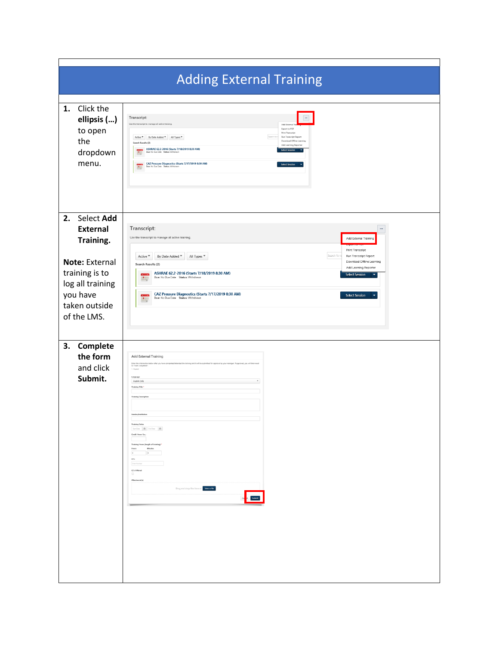| <b>Adding External Training</b>                                                                                                                                                                                                                                                                                                                                                                                                                                                                                                                                                                                                                                                                             |                                                                                                                                                                                                                                                                                                                                                                                                                                                                                                                                                                                                                                                                           |  |  |  |
|-------------------------------------------------------------------------------------------------------------------------------------------------------------------------------------------------------------------------------------------------------------------------------------------------------------------------------------------------------------------------------------------------------------------------------------------------------------------------------------------------------------------------------------------------------------------------------------------------------------------------------------------------------------------------------------------------------------|---------------------------------------------------------------------------------------------------------------------------------------------------------------------------------------------------------------------------------------------------------------------------------------------------------------------------------------------------------------------------------------------------------------------------------------------------------------------------------------------------------------------------------------------------------------------------------------------------------------------------------------------------------------------------|--|--|--|
| Click the<br>1.<br>ellipsis ()<br>to open<br>the<br>dropdown<br>menu.                                                                                                                                                                                                                                                                                                                                                                                                                                                                                                                                                                                                                                       | $\Box$<br><b>Transcript:</b><br>Use the transcript to manage all active training.<br>Add External<br>Export to PDF<br>Print Transcript<br>Search for t<br>Active $\mathbf{v}$ By Date Added $\mathbf{v}$ All Types $\mathbf{v}$<br>Run Transcript Report<br>Download Offline Learning<br>Search Results (2)<br>Add Learning Reporter<br>ASHRAE 62.2-2016 (Starts 7/18/2019 8:30 AM)<br><b>Select Session</b><br>F<br>Due: No Due Date Status: WI<br>CAZ Pressure Diagnostics (Starts 7/17/2019 8:30 AM)<br>Due: No Due Date Status: Withdrawn<br><b>Select Session</b><br>E                                                                                               |  |  |  |
| 2. Select Add<br><b>External</b><br>Transcript:<br>$\cdots$<br>Use the transcript to manage all active training.<br>Add External Training<br>Training.<br>Print Transcript<br>Search for t<br>By Date Added ▼<br>Active ▼<br>All Types<br>Run Transcript Report<br>Note: External<br>Download Offline Learning<br>Search Results (2)<br>Add Learning Reporter<br>training is to<br>ASHRAE 62.2-2016 (Starts 7/18/2019 8:30 AM)<br><b>Select Session</b><br>Due: No Due Date Status: Withdrawn<br>÷.<br>log all training<br>you have<br>CAZ Pressure Diagnostics (Starts 7/17/2019 8:30 AM)<br><b>Select Session</b><br>Due: No Due Date Status: Withdrawn<br>$\mathbf{L}_x$<br>taken outside<br>of the LMS. |                                                                                                                                                                                                                                                                                                                                                                                                                                                                                                                                                                                                                                                                           |  |  |  |
| Complete<br>3.<br>the form<br>and click<br>Submit.                                                                                                                                                                                                                                                                                                                                                                                                                                                                                                                                                                                                                                                          | Add External Training<br>Enter the information below after you have completed/attended the training and it will be submitted for approval by your manager. If approved, you will then need<br>to "mark completed<br>Language<br>English (US)<br>Training Title<br><b>Training Description</b><br>Vendor/Institution<br>Training Dates<br>$\text{Sort} \, \text{Dm} = \boxed{\text{m}}$ .<br>For $\text{Dm} = \boxed{\text{m}}$ .<br>Credit Hours Ea<br>Training Hours (length of training)<br>Minutes<br>Hours<br>$\qquad \qquad \circ$<br>$\times$<br>Enter Number<br>CE's Offered<br>$\Box$<br>Attachment(s)<br>Drag and drop files here or Select a file<br>Car Submit |  |  |  |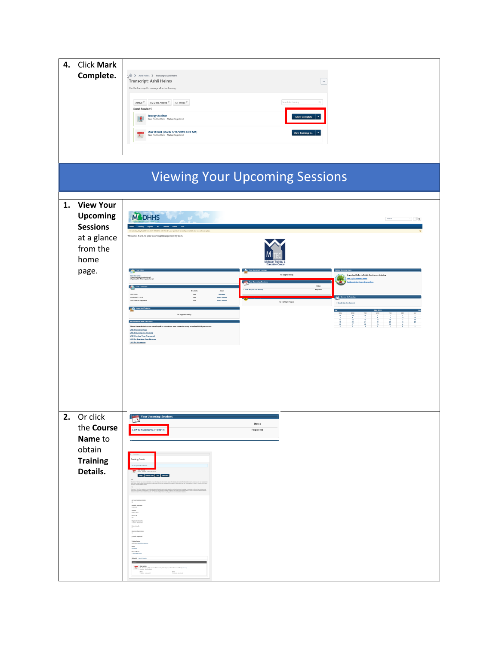| 4. | <b>Click Mark</b><br>Complete.                                                                     | $\langle \hat{\Omega} \rangle$ Ashli Helms > Transcript: Ashli Helms<br>Transcript: Ashli Helms<br>$\overline{\phantom{a}}$<br>Use the transcript to manage all active training.<br>Search for training<br>Active $\Psi$ By Date Added $\Psi$ All Types $\Psi$<br>$\bigcirc_{i}$<br>Search Results (4)<br><b>Energy Auditor</b><br>Due Date Status: Registered<br>LSW & IAQ (Starts 7/16/2019 8:30 AM)<br>View Training D<br>E<br>Due: No Due Date Status: Reg                                                                                                                                                                                                                                                                                                                                  |
|----|----------------------------------------------------------------------------------------------------|-------------------------------------------------------------------------------------------------------------------------------------------------------------------------------------------------------------------------------------------------------------------------------------------------------------------------------------------------------------------------------------------------------------------------------------------------------------------------------------------------------------------------------------------------------------------------------------------------------------------------------------------------------------------------------------------------------------------------------------------------------------------------------------------------|
|    |                                                                                                    |                                                                                                                                                                                                                                                                                                                                                                                                                                                                                                                                                                                                                                                                                                                                                                                                 |
|    |                                                                                                    | <b>Viewing Your Upcoming Sessions</b>                                                                                                                                                                                                                                                                                                                                                                                                                                                                                                                                                                                                                                                                                                                                                           |
| 1. | <b>View Your</b><br><b>Upcoming</b><br><b>Sessions</b><br>at a glance<br>from the<br>home<br>page. | <b>M</b> DHHS<br>Search<br>Welcome, Ashli, to your Learning Management System<br><b>Contract Contract</b><br>No assigned training<br>nt links to Public Ass<br>(8 approved)<br>w ES/FIS Student Guide<br><b>All You To</b><br>Status<br>Registered<br>Due Date<br>Action<br>LSW & VAQ<br>Nove<br>Nove<br>Nove<br>Willelman<br>Select Session<br>Select Session<br>ADVINE 623-2016<br>CAZ Pressure Diago<br>No Training in Progress<br>Leadership D<br>No suggested training<br>--<br>$\mathbf{R} \approx \mathbf{R} \times \mathbf{R}$<br><b>These PowerPoints were</b><br>ed to introduce new users to many standard LHS<br><b>LHS Welcome Page</b><br><b>LHS Browsing for Training</b><br><b>LHS Viewing Your Transcript</b><br><b>LHS for Training Coordinate</b><br><b>LHS for Hanagers</b> |
| 2. | Or click<br>the Course<br>Name to<br>obtain<br><b>Training</b><br>Details.                         | Your Upcoming Sessions<br>L SW & IAQ (Starts 7/16/2019)<br>Registered<br>ing Details<br><b>Anip Cambridge Rev.</b> Viewbert<br>policy regarding made and monitors, tennisting<br>shortling conditions. We sell also lined at hashful<br>ACTUAL TRANSMISSION<br>Available las<br>Trajiah Life<br><b>Mpn</b><br>KHT/MTC<br>Registration Dea<br>17 A/201 - A H of<br>Seats Available<br>Traindeg:<br>Not fabu<br><b>Ballet</b><br>Yang Parang<br><b>Staket Bate</b><br>+ Year Ingles<br>Shering<br>Auto 21<br>$\begin{tabular}{ c c c } \hline & LWW R 1822 \\ \hline \hline 11 & 16 & 16 & 16 & 16 \\ \hline 22 & 16 & 16 & 16 & 16 \\ \hline 384 & 16 & 16 & 16 \\ \hline 176 & 18 & 16 & 16 \\ \hline \end{tabular}$<br>$\frac{Eek}{\lambda \lambda \lambda}$                                   |